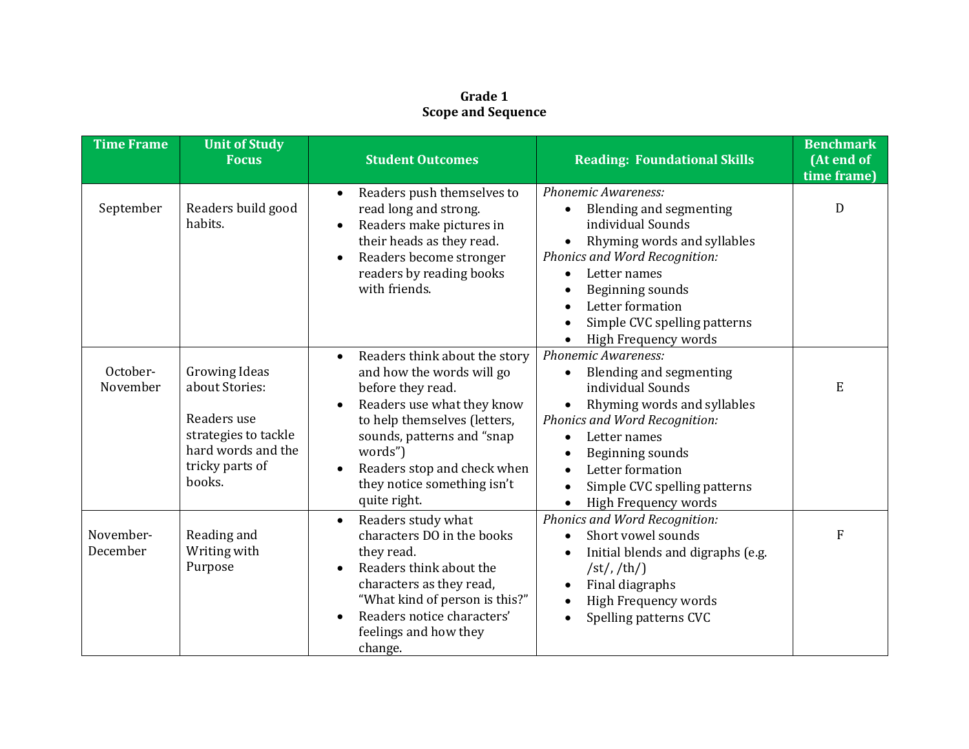## **Grade 1 Scope and Sequence**

| <b>Time Frame</b>     | <b>Unit of Study</b><br><b>Focus</b>                                                                                             | <b>Student Outcomes</b>                                                                                                                                                                                                                                              | <b>Reading: Foundational Skills</b>                                                                                                                                                                                                                                                        | <b>Benchmark</b><br>(At end of<br>time frame) |
|-----------------------|----------------------------------------------------------------------------------------------------------------------------------|----------------------------------------------------------------------------------------------------------------------------------------------------------------------------------------------------------------------------------------------------------------------|--------------------------------------------------------------------------------------------------------------------------------------------------------------------------------------------------------------------------------------------------------------------------------------------|-----------------------------------------------|
| September             | Readers build good<br>habits.                                                                                                    | Readers push themselves to<br>$\bullet$<br>read long and strong.<br>Readers make pictures in<br>their heads as they read.<br>Readers become stronger<br>readers by reading books<br>with friends.                                                                    | Phonemic Awareness:<br>Blending and segmenting<br>individual Sounds<br>Rhyming words and syllables<br>Phonics and Word Recognition:<br>Letter names<br>Beginning sounds<br>Letter formation<br>Simple CVC spelling patterns<br>High Frequency words                                        | D                                             |
| October-<br>November  | <b>Growing Ideas</b><br>about Stories:<br>Readers use<br>strategies to tackle<br>hard words and the<br>tricky parts of<br>books. | Readers think about the story<br>and how the words will go<br>before they read.<br>Readers use what they know<br>to help themselves (letters,<br>sounds, patterns and "snap<br>words")<br>Readers stop and check when<br>they notice something isn't<br>quite right. | Phonemic Awareness:<br>Blending and segmenting<br>individual Sounds<br>Rhyming words and syllables<br>Phonics and Word Recognition:<br>Letter names<br>$\bullet$<br>Beginning sounds<br>Letter formation<br>$\bullet$<br>Simple CVC spelling patterns<br>High Frequency words<br>$\bullet$ | E                                             |
| November-<br>December | Reading and<br>Writing with<br>Purpose                                                                                           | Readers study what<br>$\bullet$<br>characters DO in the books<br>they read.<br>Readers think about the<br>$\bullet$<br>characters as they read,<br>"What kind of person is this?"<br>Readers notice characters'<br>feelings and how they<br>change.                  | Phonics and Word Recognition:<br>Short vowel sounds<br>$\bullet$<br>Initial blends and digraphs (e.g.<br>$\sqrt{\frac{st}{\hbar}}$ /th/<br>Final diagraphs<br><b>High Frequency words</b><br>Spelling patterns CVC                                                                         | F                                             |